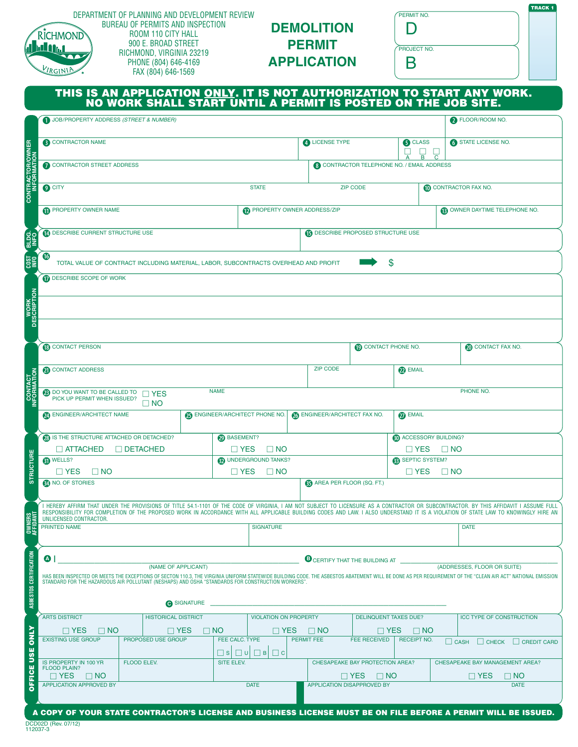|                               | DEPARTMENT OF PLANNING AND DEVELOPMENT REVIEW<br><b>BUREAU OF PERMITS AND INSPECTION</b><br>ROOM 110 CITY HALL<br>RICHMOND<br>900 E. BROAD STREET<br><b>http://</b><br>RICHMOND, VIRGINIA 23219<br>PHONE (804) 646-4169<br>VIRGINIA<br>FAX (804) 646-1569<br>THIS IS AN APPLICATION <u>ONLY</u> . IT IS NOT AUTHORIZATION TO START ANY WORK.<br>NO WORK SHALL START UNTIL A PERMIT IS POSTED ON THE JOB SITE.<br>JOB/PROPERTY ADDRESS (STREET & NUMBER) |                                                         |                              | <b>DEMOLITION</b><br><b>PERMIT</b><br><b>APPLICATION</b> |                                                    | PERMIT NO.<br>D<br>PROJECT NO.<br>Β |                                                                                      |                                              | <b>TRACK 1</b> |
|-------------------------------|---------------------------------------------------------------------------------------------------------------------------------------------------------------------------------------------------------------------------------------------------------------------------------------------------------------------------------------------------------------------------------------------------------------------------------------------------------|---------------------------------------------------------|------------------------------|----------------------------------------------------------|----------------------------------------------------|-------------------------------------|--------------------------------------------------------------------------------------|----------------------------------------------|----------------|
|                               | <b>3</b> CONTRACTOR NAME                                                                                                                                                                                                                                                                                                                                                                                                                                |                                                         |                              | 4 LICENSE TYPE                                           |                                                    | <b>6</b> CLASS                      |                                                                                      | FLOOR/ROOM NO.<br><b>6</b> STATE LICENSE NO. |                |
|                               |                                                                                                                                                                                                                                                                                                                                                                                                                                                         |                                                         |                              |                                                          |                                                    | $\Box$<br>$\overline{B}$            | $\overline{\mathrm{c}}$                                                              |                                              |                |
|                               | CONTRACTOR STREET ADDRESS                                                                                                                                                                                                                                                                                                                                                                                                                               | <b>8</b> CONTRACTOR TELEPHONE NO. / EMAIL ADDRESS       |                              |                                                          |                                                    |                                     |                                                                                      |                                              |                |
| <b>CONTRACTOR/OWNER</b>       | <b>O</b> CITY                                                                                                                                                                                                                                                                                                                                                                                                                                           |                                                         | <b>STATE</b>                 |                                                          | <b>ZIP CODE</b>                                    |                                     | <b>10 CONTRACTOR FAX NO.</b>                                                         |                                              |                |
|                               | PROPERTY OWNER NAME                                                                                                                                                                                                                                                                                                                                                                                                                                     |                                                         | PROPERTY OWNER ADDRESS/ZIP   |                                                          |                                                    |                                     |                                                                                      | <b>B</b> OWNER DAYTIME TELEPHONE NO.         |                |
| <b>BLUE</b>                   | <b>1</b> DESCRIBE CURRENT STRUCTURE USE                                                                                                                                                                                                                                                                                                                                                                                                                 |                                                         |                              | <b>B</b> DESCRIBE PROPOSED STRUCTURE USE                 |                                                    |                                     |                                                                                      |                                              |                |
| $\frac{980}{1800}$            | $\mathbf{16}$<br>\$<br>TOTAL VALUE OF CONTRACT INCLUDING MATERIAL, LABOR, SUBCONTRACTS OVERHEAD AND PROFIT                                                                                                                                                                                                                                                                                                                                              |                                                         |                              |                                                          |                                                    |                                     |                                                                                      |                                              |                |
| <b>WORK</b><br>DESCRIPTION    | DESCRIBE SCOPE OF WORK                                                                                                                                                                                                                                                                                                                                                                                                                                  |                                                         |                              |                                                          |                                                    |                                     |                                                                                      |                                              |                |
|                               | <b>B</b> CONTACT PERSON<br>CONTACT PHONE NO.<br><b>OD</b> CONTACT FAX NO.                                                                                                                                                                                                                                                                                                                                                                               |                                                         |                              |                                                          |                                                    |                                     |                                                                                      |                                              |                |
|                               | CONTACT ADDRESS                                                                                                                                                                                                                                                                                                                                                                                                                                         |                                                         | <b>ZIP CODE</b>              | <b>D</b> EMAIL                                           |                                                    |                                     |                                                                                      |                                              |                |
| <b>CONTACT</b><br>INFORMATION | <b>NAME</b><br>PHONE NO.<br>23 DO YOU WANT TO BE CALLED TO PICK UP PERMIT WHEN ISSUED?<br>$\sqcap$ YES                                                                                                                                                                                                                                                                                                                                                  |                                                         |                              |                                                          |                                                    |                                     |                                                                                      |                                              |                |
|                               | $\Box$ NO<br>ENGINEER/ARCHITECT NAME<br><b>OR ENGINEER/ARCHITECT PHONE NO.</b>                                                                                                                                                                                                                                                                                                                                                                          | <b>23 ENGINEER/ARCHITECT FAX NO.</b><br><b>27</b> EMAIL |                              |                                                          |                                                    |                                     |                                                                                      |                                              |                |
|                               | <b>8</b> IS THE STRUCTURE ATTACHED OR DETACHED?                                                                                                                                                                                                                                                                                                                                                                                                         | <b>BASEMENT?</b>                                        |                              |                                                          |                                                    | <b>ED</b> ACCESSORY BUILDING?       |                                                                                      |                                              |                |
|                               | $\Box$ ATTACHED<br>$\Box$ DETACHED                                                                                                                                                                                                                                                                                                                                                                                                                      | $\Box$ NO<br>$\square$ YES                              |                              |                                                          | $\Box$ YES<br>$\Box$ NO                            |                                     |                                                                                      |                                              |                |
| <b>STRUCTURE</b>              | 6 <sup>0</sup> WELLS?<br>$\Box$ YES<br>$\Box$ NO                                                                                                                                                                                                                                                                                                                                                                                                        | (D) UNDERGROUND TANKS?<br>$\Box$ YES<br>$\Box$ NO       |                              |                                                          | <b>B</b> SEPTIC SYSTEM?<br>$\Box$ YES<br>$\Box$ NO |                                     |                                                                                      |                                              |                |
|                               | NO. OF STORIES<br><b>CO</b> AREA PER FLOOR (SQ. FT.)                                                                                                                                                                                                                                                                                                                                                                                                    |                                                         |                              |                                                          |                                                    |                                     |                                                                                      |                                              |                |
| <b>OWNERS</b><br>AFFIDAVIT    | I HEREBY AFFIRM THAT UNDER THE PROVISIONS OF TITLE 54.1-1101 OF THE CODE OF VIRGINIA, I AM NOT SUBJECT TO LICENSURE AS A CONTRACTOR OR SUBCONTRACTOR. BY THIS AFFIDAVIT I ASSUME FULL<br>RESPONSIBILITY FOR COMPLETION OF THE PROPOSED WORK IN ACCORDANCE WITH ALL APPLICABLE BUILDING CODES AND LAW. I ALSO UNDERSTAND IT IS A VIOLATION OF STATE LAW TO KNOWINGLY HIRE AN<br>UNLICENSED CONTRACTOR.                                                   |                                                         |                              |                                                          |                                                    |                                     |                                                                                      |                                              |                |
|                               | <b>PRINTED NAME</b>                                                                                                                                                                                                                                                                                                                                                                                                                                     | <b>SIGNATURE</b>                                        |                              |                                                          |                                                    | <b>DATE</b>                         |                                                                                      |                                              |                |
| ASBESTOS CERTIFICATION        | $\bullet$<br><b>B</b> CERTIFY THAT THE BUILDING AT<br>(NAME OF APPLICANT)<br>(ADDRESSES, FLOOR OR SUITE)<br>HAS BEEN INSPECTED OR MEETS THE EXCEPTIONS OF SECTON 110.3, THE VIRGINIA UNIFORM STATEWIDE BUILDING CODE. THE ASBESTOS ABATEMENT WILL BE DONE AS PER REQUIREMENT OF THE "CLEAN AIR ACT" NATIONAL EMISSION<br>STANDARD FOR THE HAZARDOUS AIR POLLUTANT (NESHAPS) AND OSHA "STANDARDS FOR CONSTRUCTION WORKERS".<br>SIGNATURE                 |                                                         |                              |                                                          |                                                    |                                     |                                                                                      |                                              |                |
|                               | <b>ARTS DISTRICT</b><br><b>HISTORICAL DISTRICT</b>                                                                                                                                                                                                                                                                                                                                                                                                      |                                                         | <b>VIOLATION ON PROPERTY</b> |                                                          | <b>DELINQUENT TAXES DUE?</b>                       |                                     |                                                                                      | <b>ICC TYPE OF CONSTRUCTION</b>              |                |
|                               | $\Box$ YES<br>$\Box$ YES<br>$\Box$ NO<br><b>EXISTING USE GROUP</b><br>PROPOSED USE GROUP                                                                                                                                                                                                                                                                                                                                                                | $\Box$ NO<br>FEE CALC. TYPE                             | $\sqcap$ YES                 | $\square$ NO<br>PERMIT FEE                               | $\Box$ YES<br><b>FEE RECEIVED</b>                  | $\Box$ NO<br><b>RECEIPT NO.</b>     |                                                                                      |                                              |                |
| <b>USE ONLY</b>               | $\Box$ s<br>IS PROPERTY IN 100 YR<br>FLOOD ELEV.<br>SITE ELEV.                                                                                                                                                                                                                                                                                                                                                                                          |                                                         | $\Box$ B<br>$\Box$ C         |                                                          | CHESAPEAKE BAY PROTECTION AREA?                    |                                     | $\Box$ CASH<br>$\Box$ CHECK<br>CREDIT CARD<br><b>CHESAPEAKE BAY MANAGEMENT AREA?</b> |                                              |                |
| OFFICE                        | <b>FLOOD PLAIN?</b><br>$\Box$ YES<br>$\Box$ NO                                                                                                                                                                                                                                                                                                                                                                                                          |                                                         |                              |                                                          | $\Box$ YES<br>$\Box$ NO                            |                                     |                                                                                      | $\sqcap$ YES<br>$\square$ NO                 |                |
|                               | <b>APPLICATION APPROVED BY</b>                                                                                                                                                                                                                                                                                                                                                                                                                          |                                                         | <b>DATE</b>                  |                                                          | APPLICATION DISAPPROVED BY                         |                                     |                                                                                      |                                              | <b>DATE</b>    |
|                               | A COPY OF YOUR STATE CONTRACTOR'S LICENSE AND BUSINESS LICENSE MUST BE ON FILE BEFORE A PERMIT WILL BE ISSUED.                                                                                                                                                                                                                                                                                                                                          |                                                         |                              |                                                          |                                                    |                                     |                                                                                      |                                              |                |

DCD02D (Rev. 07/12) 112037-3